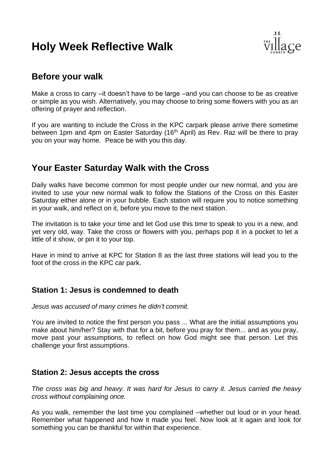# **Holy Week Reflective Walk**



# **Before your walk**

Make a cross to carry –it doesn't have to be large –and you can choose to be as creative or simple as you wish. Alternatively, you may choose to bring some flowers with you as an offering of prayer and reflection.

If you are wanting to include the Cross in the KPC carpark please arrive there sometime between 1pm and 4pm on Easter Saturday (16<sup>th</sup> April) as Rev. Raz will be there to pray you on your way home. Peace be with you this day.

# **Your Easter Saturday Walk with the Cross**

Daily walks have become common for most people under our new normal, and you are invited to use your new normal walk to follow the Stations of the Cross on this Easter Saturday either alone or in your bubble. Each station will require you to notice something in your walk, and reflect on it, before you move to the next station.

The invitation is to take your time and let God use this time to speak to you in a new, and yet very old, way. Take the cross or flowers with you, perhaps pop it in a pocket to let a little of it show, or pin it to your top.

Have in mind to arrive at KPC for Station 8 as the last three stations will lead you to the foot of the cross in the KPC car park.

#### **Station 1: Jesus is condemned to death**

*Jesus was accused of many crimes he didn't commit.*

You are invited to notice the first person you pass ... What are the initial assumptions you make about him/her? Stay with that for a bit, before you pray for them... and as you pray, move past your assumptions, to reflect on how God might see that person. Let this challenge your first assumptions.

#### **Station 2: Jesus accepts the cross**

*The cross was big and heavy. It was hard for Jesus to carry it. Jesus carried the heavy cross without complaining once.*

As you walk, remember the last time you complained –whether out loud or in your head. Remember what happened and how it made you feel. Now look at it again and look for something you can be thankful for within that experience.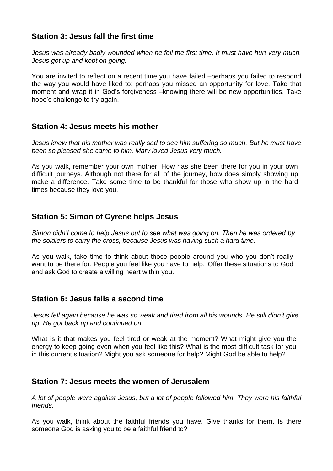# **Station 3: Jesus fall the first time**

*Jesus was already badly wounded when he fell the first time. It must have hurt very much. Jesus got up and kept on going.*

You are invited to reflect on a recent time you have failed –perhaps you failed to respond the way you would have liked to; perhaps you missed an opportunity for love. Take that moment and wrap it in God's forgiveness –knowing there will be new opportunities. Take hope's challenge to try again.

## **Station 4: Jesus meets his mother**

*Jesus knew that his mother was really sad to see him suffering so much. But he must have been so pleased she came to him. Mary loved Jesus very much.*

As you walk, remember your own mother. How has she been there for you in your own difficult journeys. Although not there for all of the journey, how does simply showing up make a difference. Take some time to be thankful for those who show up in the hard times because they love you.

## **Station 5: Simon of Cyrene helps Jesus**

*Simon didn't come to help Jesus but to see what was going on. Then he was ordered by the soldiers to carry the cross, because Jesus was having such a hard time.*

As you walk, take time to think about those people around you who you don't really want to be there for. People you feel like you have to help. Offer these situations to God and ask God to create a willing heart within you.

# **Station 6: Jesus falls a second time**

*Jesus fell again because he was so weak and tired from all his wounds. He still didn't give up. He got back up and continued on.*

What is it that makes you feel tired or weak at the moment? What might give you the energy to keep going even when you feel like this? What is the most difficult task for you in this current situation? Might you ask someone for help? Might God be able to help?

#### **Station 7: Jesus meets the women of Jerusalem**

*A lot of people were against Jesus, but a lot of people followed him. They were his faithful friends.*

As you walk, think about the faithful friends you have. Give thanks for them. Is there someone God is asking you to be a faithful friend to?